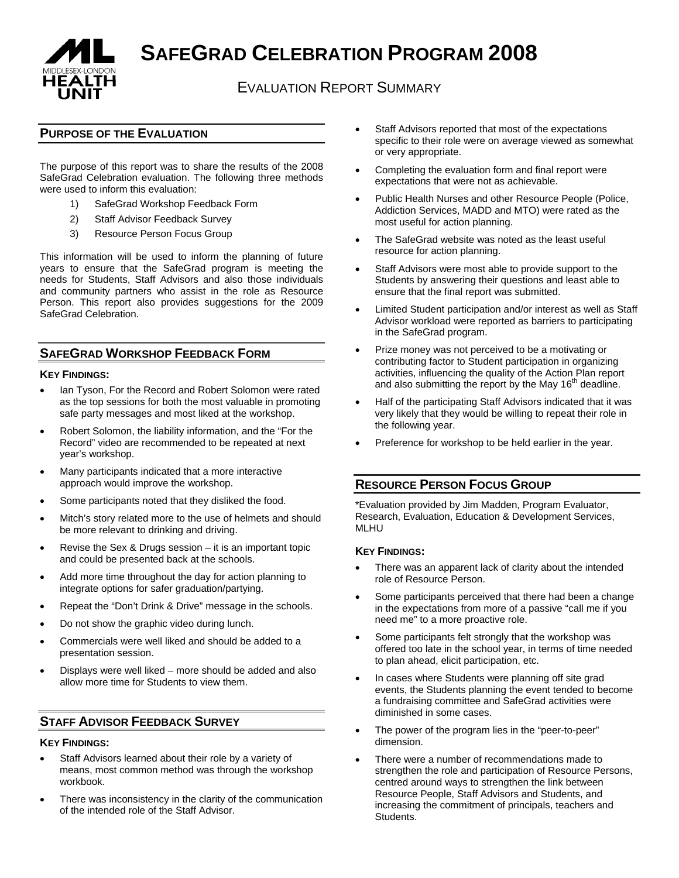

**SAFEGRAD CELEBRATION PROGRAM 2008**

# EVALUATION REPORT SUMMARY

### **PURPOSE OF THE EVALUATION**

The purpose of this report was to share the results of the 2008 SafeGrad Celebration evaluation. The following three methods were used to inform this evaluation:

- 1) SafeGrad Workshop Feedback Form
- 2) Staff Advisor Feedback Survey
- 3) Resource Person Focus Group

This information will be used to inform the planning of future years to ensure that the SafeGrad program is meeting the needs for Students, Staff Advisors and also those individuals and community partners who assist in the role as Resource Person. This report also provides suggestions for the 2009 SafeGrad Celebration.

### **SAFEGRAD WORKSHOP FEEDBACK FORM**

#### **KEY FINDINGS:**

- lan Tyson, For the Record and Robert Solomon were rated as the top sessions for both the most valuable in promoting safe party messages and most liked at the workshop.
- Robert Solomon, the liability information, and the "For the Record" video are recommended to be repeated at next year's workshop.
- Many participants indicated that a more interactive approach would improve the workshop.
- Some participants noted that they disliked the food.
- Mitch's story related more to the use of helmets and should be more relevant to drinking and driving.
- Revise the Sex & Drugs session  $-$  it is an important topic and could be presented back at the schools.
- Add more time throughout the day for action planning to integrate options for safer graduation/partying.
- Repeat the "Don't Drink & Drive" message in the schools.
- Do not show the graphic video during lunch.
- Commercials were well liked and should be added to a presentation session.
- Displays were well liked more should be added and also allow more time for Students to view them.

### **STAFF ADVISOR FEEDBACK SURVEY**

#### **KEY FINDINGS:**

- Staff Advisors learned about their role by a variety of means, most common method was through the workshop workbook.
- There was inconsistency in the clarity of the communication of the intended role of the Staff Advisor.
- Staff Advisors reported that most of the expectations specific to their role were on average viewed as somewhat or very appropriate.
- Completing the evaluation form and final report were expectations that were not as achievable.
- Public Health Nurses and other Resource People (Police, Addiction Services, MADD and MTO) were rated as the most useful for action planning.
- The SafeGrad website was noted as the least useful resource for action planning.
- Staff Advisors were most able to provide support to the Students by answering their questions and least able to ensure that the final report was submitted.
- Limited Student participation and/or interest as well as Staff Advisor workload were reported as barriers to participating in the SafeGrad program.
- Prize money was not perceived to be a motivating or contributing factor to Student participation in organizing activities, influencing the quality of the Action Plan report and also submitting the report by the May  $16<sup>th</sup>$  deadline.
- Half of the participating Staff Advisors indicated that it was very likely that they would be willing to repeat their role in the following year.
- Preference for workshop to be held earlier in the year.

# **RESOURCE PERSON FOCUS GROUP**

\*Evaluation provided by Jim Madden, Program Evaluator, Research, Evaluation, Education & Development Services, MLHU

#### **KEY FINDINGS:**

- There was an apparent lack of clarity about the intended role of Resource Person.
- Some participants perceived that there had been a change in the expectations from more of a passive "call me if you need me" to a more proactive role.
- Some participants felt strongly that the workshop was offered too late in the school year, in terms of time needed to plan ahead, elicit participation, etc.
- In cases where Students were planning off site grad events, the Students planning the event tended to become a fundraising committee and SafeGrad activities were diminished in some cases.
- The power of the program lies in the "peer-to-peer" dimension.
- There were a number of recommendations made to strengthen the role and participation of Resource Persons, centred around ways to strengthen the link between Resource People, Staff Advisors and Students, and increasing the commitment of principals, teachers and Students.